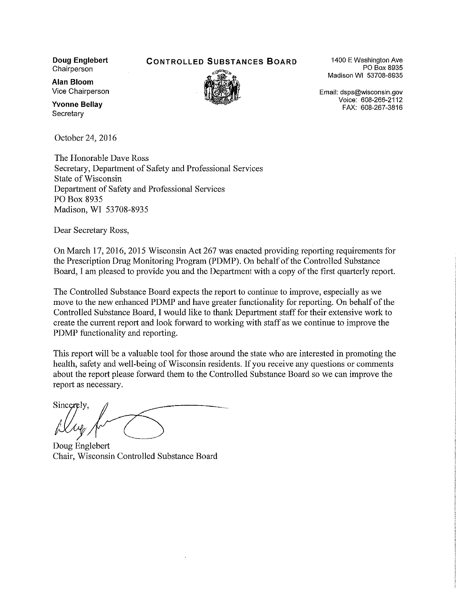**Doug Englebert** Chairperson

**CONTROLLED SUBSTANCES BOARD** 



1400 E Washington Ave PO Box 8935 Madison WI 53708-8935

Email: dsps@wisconsin.gov Voice: 608-266-2112 FAX: 608-267-3816

**Alan Bloom** Vice Chairperson

**Yvonne Bellav** Secretary

October 24, 2016

The Honorable Dave Ross Secretary, Department of Safety and Professional Services State of Wisconsin Department of Safety and Professional Services PO Box 8935 Madison, WI 53708-8935

Dear Secretary Ross,

On March 17, 2016, 2015 Wisconsin Act 267 was enacted providing reporting requirements for the Prescription Drug Monitoring Program (PDMP). On behalf of the Controlled Substance Board, I am pleased to provide you and the Department with a copy of the first quarterly report.

The Controlled Substance Board expects the report to continue to improve, especially as we move to the new enhanced PDMP and have greater functionality for reporting. On behalf of the Controlled Substance Board, I would like to thank Department staff for their extensive work to create the current report and look forward to working with staff as we continue to improve the PDMP functionality and reporting.

This report will be a valuable tool for those around the state who are interested in promoting the health, safety and well-being of Wisconsin residents. If you receive any questions or comments about the report please forward them to the Controlled Substance Board so we can improve the report as necessary.

Sincerely.

Doug Englebert Chair, Wisconsin Controlled Substance Board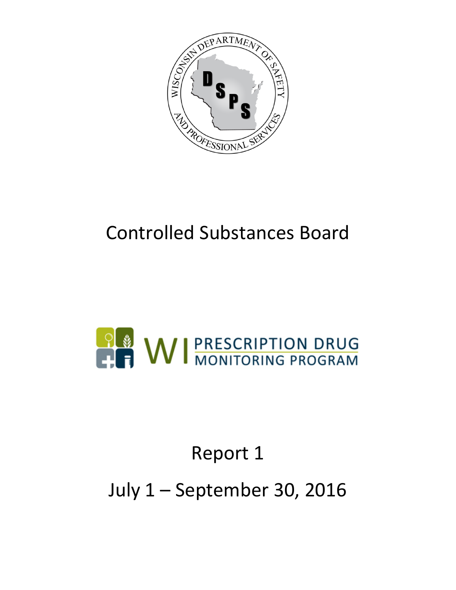

# Controlled Substances Board



# Report 1

July 1 – September 30, 2016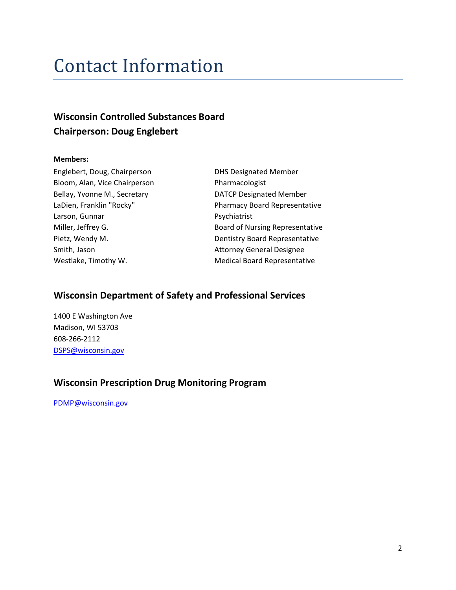### Contact Information

### **Wisconsin Controlled Substances Board Chairperson: Doug Englebert**

#### **Members:**

Englebert, Doug, Chairperson DHS Designated Member Bloom, Alan, Vice Chairperson Pharmacologist Bellay, Yvonne M., Secretary **DATCP Designated Member** Larson, Gunnar Psychiatrist Smith, Jason **Attorney General Designee** 

LaDien, Franklin "Rocky" Pharmacy Board Representative Miller, Jeffrey G. The Music Controller and South Board of Nursing Representative Pietz, Wendy M. North States and Dentistry Board Representative Westlake, Timothy W. The Medical Board Representative

#### **Wisconsin Department of Safety and Professional Services**

1400 E Washington Ave Madison, WI 53703 608-266-2112 [DSPS@wisconsin.gov](mailto:DSPS@wisconsin.gov)

### **Wisconsin Prescription Drug Monitoring Program**

[PDMP@wisconsin.gov](mailto:PDMP@wisconsin.gov)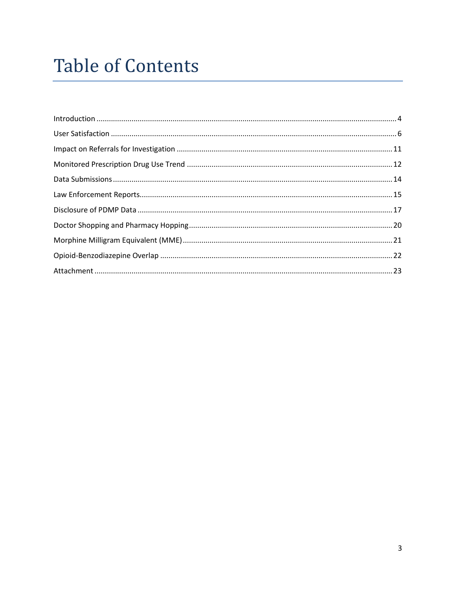# **Table of Contents**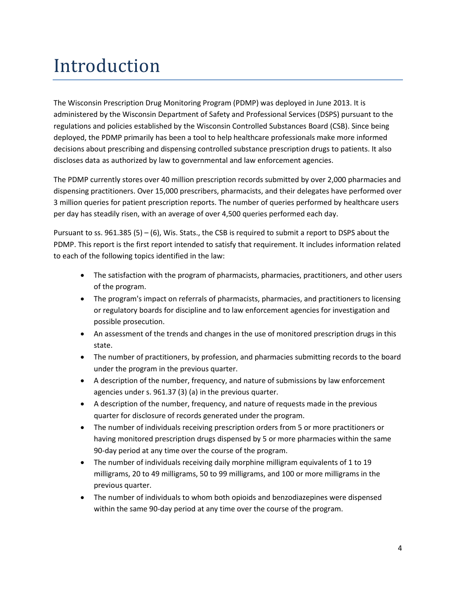## <span id="page-4-0"></span>Introduction

The Wisconsin Prescription Drug Monitoring Program (PDMP) was deployed in June 2013. It is administered by the Wisconsin Department of Safety and Professional Services (DSPS) pursuant to the regulations and policies established by the Wisconsin Controlled Substances Board (CSB). Since being deployed, the PDMP primarily has been a tool to help healthcare professionals make more informed decisions about prescribing and dispensing controlled substance prescription drugs to patients. It also discloses data as authorized by law to governmental and law enforcement agencies.

The PDMP currently stores over 40 million prescription records submitted by over 2,000 pharmacies and dispensing practitioners. Over 15,000 prescribers, pharmacists, and their delegates have performed over 3 million queries for patient prescription reports. The number of queries performed by healthcare users per day has steadily risen, with an average of over 4,500 queries performed each day.

Pursuant to ss. 961.385 (5) – (6), Wis. Stats., the CSB is required to submit a report to DSPS about the PDMP. This report is the first report intended to satisfy that requirement. It includes information related to each of the following topics identified in the law:

- The satisfaction with the program of pharmacists, pharmacies, practitioners, and other users of the program.
- The program's impact on referrals of pharmacists, pharmacies, and practitioners to licensing or regulatory boards for discipline and to law enforcement agencies for investigation and possible prosecution.
- An assessment of the trends and changes in the use of monitored prescription drugs in this state.
- The number of practitioners, by profession, and pharmacies submitting records to the board under the program in the previous quarter.
- A description of the number, frequency, and nature of submissions by law enforcement agencies under s. 961.37 (3) (a) in the previous quarter.
- A description of the number, frequency, and nature of requests made in the previous quarter for disclosure of records generated under the program.
- The number of individuals receiving prescription orders from 5 or more practitioners or having monitored prescription drugs dispensed by 5 or more pharmacies within the same 90-day period at any time over the course of the program.
- The number of individuals receiving daily morphine milligram equivalents of 1 to 19 milligrams, 20 to 49 milligrams, 50 to 99 milligrams, and 100 or more milligrams in the previous quarter.
- The number of individuals to whom both opioids and benzodiazepines were dispensed within the same 90-day period at any time over the course of the program.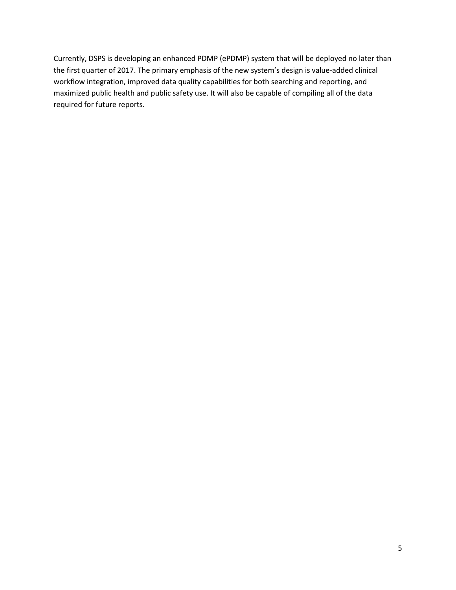Currently, DSPS is developing an enhanced PDMP (ePDMP) system that will be deployed no later than the first quarter of 2017. The primary emphasis of the new system's design is value-added clinical workflow integration, improved data quality capabilities for both searching and reporting, and maximized public health and public safety use. It will also be capable of compiling all of the data required for future reports.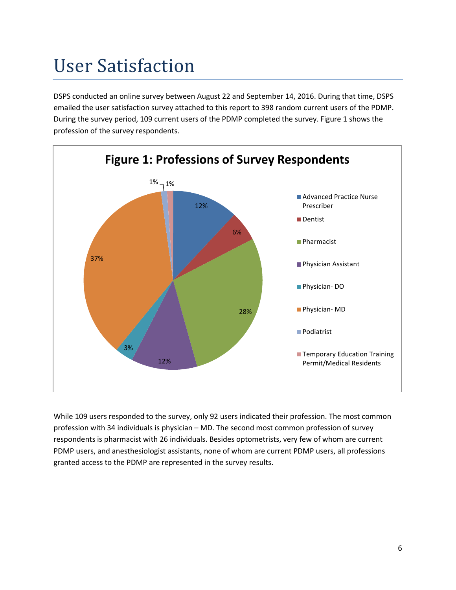# <span id="page-6-0"></span>User Satisfaction

DSPS conducted an online survey between August 22 and September 14, 2016. During that time, DSPS emailed the user satisfaction survey attached to this report to 398 random current users of the PDMP. During the survey period, 109 current users of the PDMP completed the survey. Figure 1 shows the profession of the survey respondents.



While 109 users responded to the survey, only 92 users indicated their profession. The most common profession with 34 individuals is physician – MD. The second most common profession of survey respondents is pharmacist with 26 individuals. Besides optometrists, very few of whom are current PDMP users, and anesthesiologist assistants, none of whom are current PDMP users, all professions granted access to the PDMP are represented in the survey results.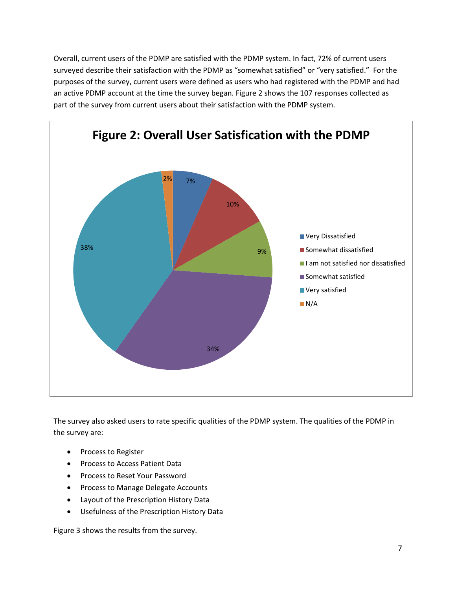Overall, current users of the PDMP are satisfied with the PDMP system. In fact, 72% of current users surveyed describe their satisfaction with the PDMP as "somewhat satisfied" or "very satisfied." For the purposes of the survey, current users were defined as users who had registered with the PDMP and had an active PDMP account at the time the survey began. Figure 2 shows the 107 responses collected as part of the survey from current users about their satisfaction with the PDMP system.



The survey also asked users to rate specific qualities of the PDMP system. The qualities of the PDMP in the survey are:

- Process to Register
- Process to Access Patient Data
- Process to Reset Your Password
- Process to Manage Delegate Accounts
- Layout of the Prescription History Data
- Usefulness of the Prescription History Data

Figure 3 shows the results from the survey.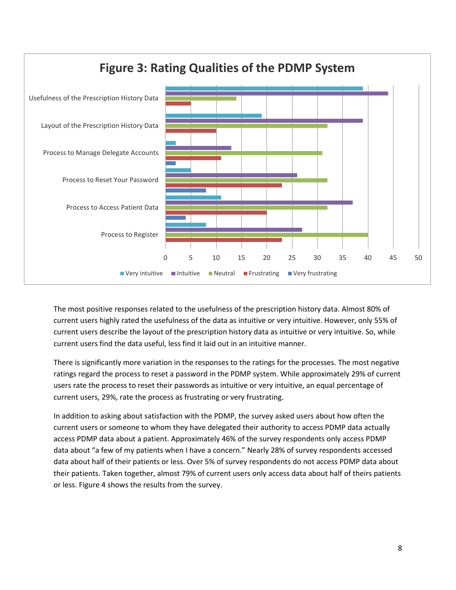

The most positive responses related to the usefulness of the prescription history data. Almost 80% of current users highly rated the usefulness of the data as intuitive or very intuitive. However, only 55% of current users describe the layout of the prescription history data as intuitive or very intuitive. So, while current users find the data useful, less find it laid out in an intuitive manner.

There is significantly more variation in the responses to the ratings for the processes. The most negative ratings regard the process to reset a password in the PDMP system. While approximately 29% of current users rate the process to reset their passwords as intuitive or very intuitive, an equal percentage of current users, 29%, rate the process as frustrating or very frustrating.

In addition to asking about satisfaction with the PDMP, the survey asked users about how often the current users or someone to whom they have delegated their authority to access PDMP data actually access PDMP data about a patient. Approximately 46% of the survey respondents only access PDMP data about "a few of my patients when I have a concern." Nearly 28% of survey respondents accessed data about half of their patients or less. Over 5% of survey respondents do not access PDMP data about their patients. Taken together, almost 79% of current users only access data about half of theirs patients or less. Figure 4 shows the results from the survey.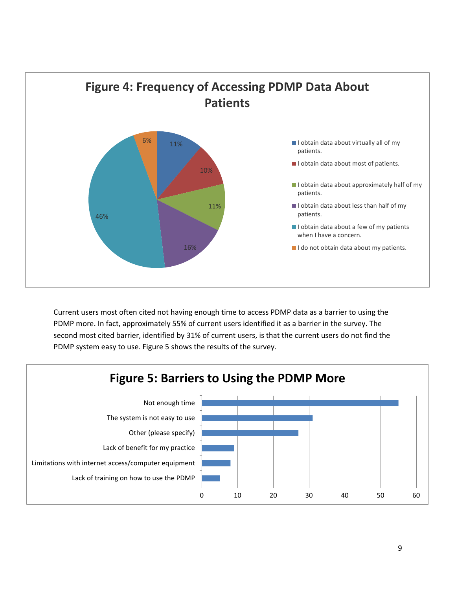

Current users most often cited not having enough time to access PDMP data as a barrier to using the PDMP more. In fact, approximately 55% of current users identified it as a barrier in the survey. The second most cited barrier, identified by 31% of current users, is that the current users do not find the PDMP system easy to use. Figure 5 shows the results of the survey.

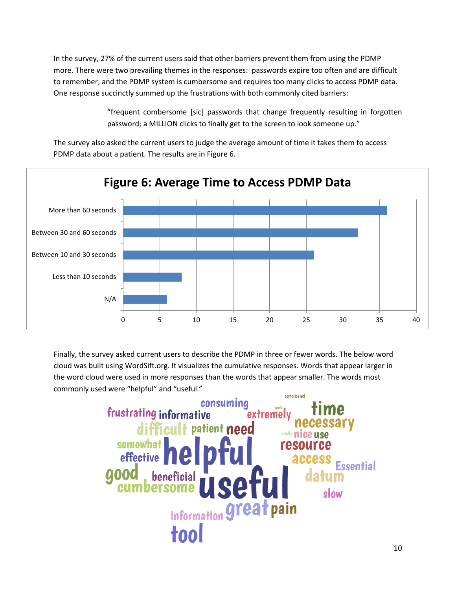In the survey, 27% of the current users said that other barriers prevent them from using the PDMP more. There were two prevailing themes in the responses: passwords expire too often and are difficult to remember, and the PDMP system is cumbersome and requires too many clicks to access PDMP data. One response succinctly summed up the frustrations with both commonly cited barriers:

> "frequent combersome [sic] passwords that change frequently resulting in forgotten password; a MILLION clicks to finally get to the screen to look someone up."

The survey also asked the current users to judge the average amount of time it takes them to access PDMP data about a patient. The results are in Figure 6.



Finally, the survey asked current users to describe the PDMP in three or fewer words. The below word cloud was built using WordSift.org. It visualizes the cumulative responses. Words that appear larger in the word cloud were used in more responses than the words that appear smaller. The words most commonly used were "helpful" and "useful."

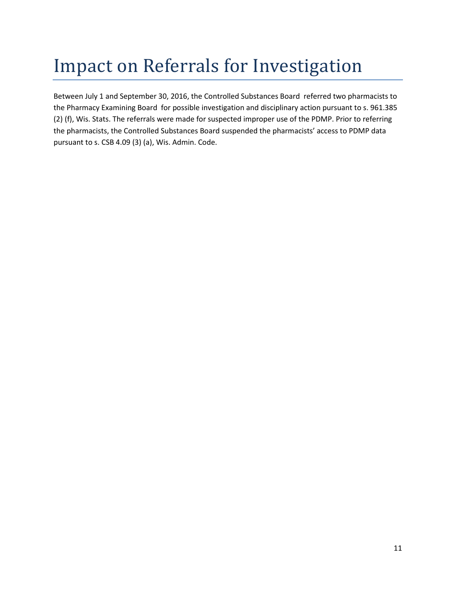# <span id="page-11-0"></span>Impact on Referrals for Investigation

Between July 1 and September 30, 2016, the Controlled Substances Board referred two pharmacists to the Pharmacy Examining Board for possible investigation and disciplinary action pursuant to s. 961.385 (2) (f), Wis. Stats. The referrals were made for suspected improper use of the PDMP. Prior to referring the pharmacists, the Controlled Substances Board suspended the pharmacists' access to PDMP data pursuant to s. CSB 4.09 (3) (a), Wis. Admin. Code.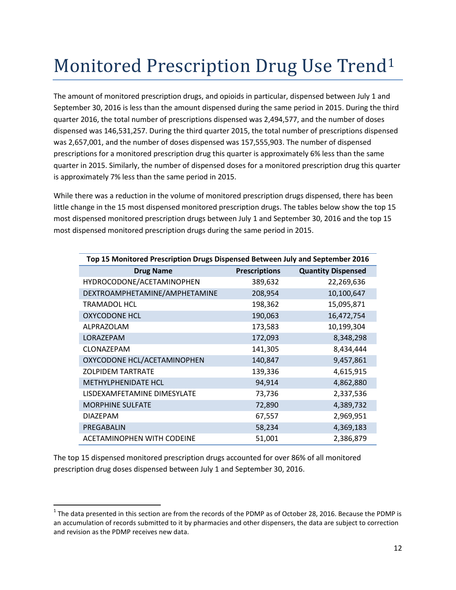# <span id="page-12-0"></span>Monitored Prescription Drug Use Trend[1](#page-12-1)

The amount of monitored prescription drugs, and opioids in particular, dispensed between July 1 and September 30, 2016 is less than the amount dispensed during the same period in 2015. During the third quarter 2016, the total number of prescriptions dispensed was 2,494,577, and the number of doses dispensed was 146,531,257. During the third quarter 2015, the total number of prescriptions dispensed was 2,657,001, and the number of doses dispensed was 157,555,903. The number of dispensed prescriptions for a monitored prescription drug this quarter is approximately 6% less than the same quarter in 2015. Similarly, the number of dispensed doses for a monitored prescription drug this quarter is approximately 7% less than the same period in 2015.

While there was a reduction in the volume of monitored prescription drugs dispensed, there has been little change in the 15 most dispensed monitored prescription drugs. The tables below show the top 15 most dispensed monitored prescription drugs between July 1 and September 30, 2016 and the top 15 most dispensed monitored prescription drugs during the same period in 2015.

| Top 15 Monitored Prescription Drugs Dispensed Between July and September 2016 |                      |                           |
|-------------------------------------------------------------------------------|----------------------|---------------------------|
| <b>Drug Name</b>                                                              | <b>Prescriptions</b> | <b>Quantity Dispensed</b> |
| HYDROCODONE/ACETAMINOPHEN                                                     | 389,632              | 22,269,636                |
| DEXTROAMPHETAMINE/AMPHETAMINE                                                 | 208,954              | 10,100,647                |
| <b>TRAMADOL HCL</b>                                                           | 198,362              | 15,095,871                |
| <b>OXYCODONE HCL</b>                                                          | 190,063              | 16,472,754                |
| ALPRAZOLAM                                                                    | 173,583              | 10,199,304                |
| LORAZEPAM                                                                     | 172,093              | 8,348,298                 |
| <b>CLONAZEPAM</b>                                                             | 141,305              | 8,434,444                 |
| OXYCODONE HCL/ACETAMINOPHEN                                                   | 140,847              | 9,457,861                 |
| <b>ZOLPIDEM TARTRATE</b>                                                      | 139,336              | 4,615,915                 |
| <b>METHYLPHENIDATE HCL</b>                                                    | 94,914               | 4,862,880                 |
| LISDEXAMFETAMINE DIMESYLATE                                                   | 73,736               | 2,337,536                 |
| <b>MORPHINE SULFATE</b>                                                       | 72,890               | 4,389,732                 |
| <b>DIAZEPAM</b>                                                               | 67,557               | 2,969,951                 |
| PREGABALIN                                                                    | 58,234               | 4,369,183                 |
| ACETAMINOPHEN WITH CODEINE                                                    | 51,001               | 2,386,879                 |

The top 15 dispensed monitored prescription drugs accounted for over 86% of all monitored prescription drug doses dispensed between July 1 and September 30, 2016.

<span id="page-12-1"></span> $1$  The data presented in this section are from the records of the PDMP as of October 28, 2016. Because the PDMP is an accumulation of records submitted to it by pharmacies and other dispensers, the data are subject to correction and revision as the PDMP receives new data.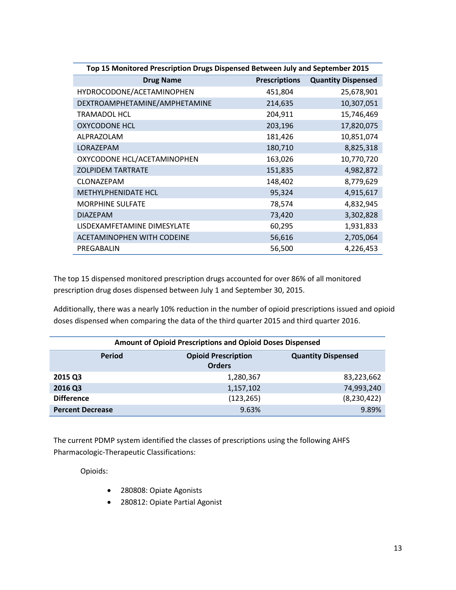| Top 15 Monitored Prescription Drugs Dispensed Between July and September 2015 |                      |                           |
|-------------------------------------------------------------------------------|----------------------|---------------------------|
| <b>Drug Name</b>                                                              | <b>Prescriptions</b> | <b>Quantity Dispensed</b> |
| HYDROCODONE/ACETAMINOPHEN                                                     | 451,804              | 25,678,901                |
| DEXTROAMPHETAMINE/AMPHETAMINE                                                 | 214,635              | 10,307,051                |
| <b>TRAMADOL HCL</b>                                                           | 204,911              | 15,746,469                |
| <b>OXYCODONE HCL</b>                                                          | 203,196              | 17,820,075                |
| ALPRAZOLAM                                                                    | 181,426              | 10,851,074                |
| LORAZEPAM                                                                     | 180,710              | 8,825,318                 |
| OXYCODONE HCL/ACETAMINOPHEN                                                   | 163,026              | 10,770,720                |
| <b>ZOLPIDEM TARTRATE</b>                                                      | 151,835              | 4,982,872                 |
| CLONAZEPAM                                                                    | 148,402              | 8,779,629                 |
| <b>METHYLPHENIDATE HCL</b>                                                    | 95,324               | 4,915,617                 |
| <b>MORPHINE SULFATE</b>                                                       | 78,574               | 4,832,945                 |
| <b>DIAZEPAM</b>                                                               | 73,420               | 3,302,828                 |
| LISDEXAMFETAMINE DIMESYLATE                                                   | 60,295               | 1,931,833                 |
| <b>ACETAMINOPHEN WITH CODEINE</b>                                             | 56,616               | 2,705,064                 |
| PREGABALIN                                                                    | 56,500               | 4,226,453                 |

The top 15 dispensed monitored prescription drugs accounted for over 86% of all monitored prescription drug doses dispensed between July 1 and September 30, 2015.

Additionally, there was a nearly 10% reduction in the number of opioid prescriptions issued and opioid doses dispensed when comparing the data of the third quarter 2015 and third quarter 2016.

| Amount of Opioid Prescriptions and Opioid Doses Dispensed |                                             |                           |  |
|-----------------------------------------------------------|---------------------------------------------|---------------------------|--|
| Period                                                    | <b>Opioid Prescription</b><br><b>Orders</b> | <b>Quantity Dispensed</b> |  |
| 2015 Q3                                                   | 1,280,367                                   | 83,223,662                |  |
| 2016 Q3                                                   | 1,157,102                                   | 74,993,240                |  |
| <b>Difference</b>                                         | (123, 265)                                  | (8, 230, 422)             |  |
| <b>Percent Decrease</b>                                   | 9.63%                                       | 9.89%                     |  |

The current PDMP system identified the classes of prescriptions using the following AHFS Pharmacologic-Therapeutic Classifications:

Opioids:

- 280808: Opiate Agonists
- 280812: Opiate Partial Agonist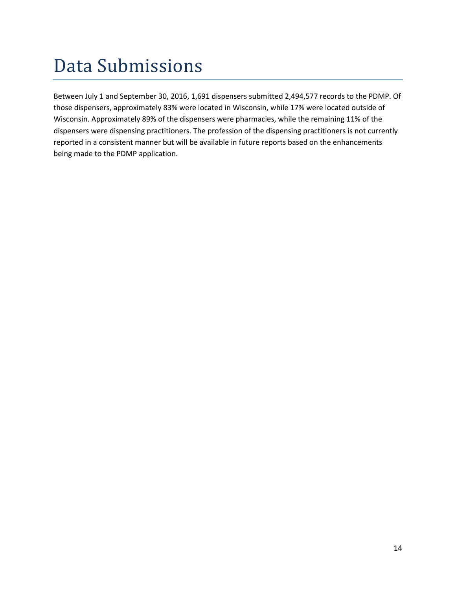## <span id="page-14-0"></span>Data Submissions

Between July 1 and September 30, 2016, 1,691 dispensers submitted 2,494,577 records to the PDMP. Of those dispensers, approximately 83% were located in Wisconsin, while 17% were located outside of Wisconsin. Approximately 89% of the dispensers were pharmacies, while the remaining 11% of the dispensers were dispensing practitioners. The profession of the dispensing practitioners is not currently reported in a consistent manner but will be available in future reports based on the enhancements being made to the PDMP application.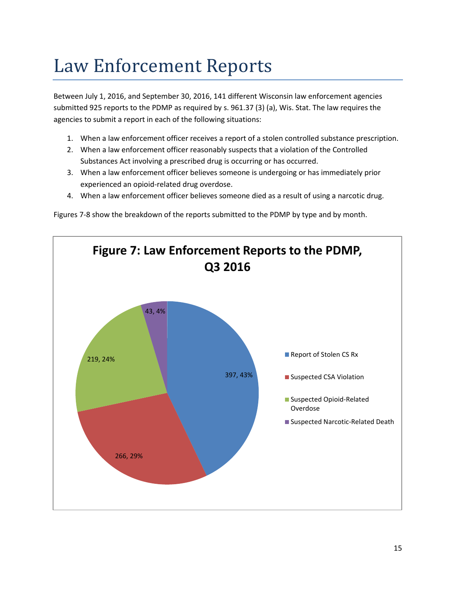## <span id="page-15-0"></span>Law Enforcement Reports

Between July 1, 2016, and September 30, 2016, 141 different Wisconsin law enforcement agencies submitted 925 reports to the PDMP as required by s. [961.37 \(3\) \(a\),](https://docs.legis.wisconsin.gov/document/statutes/961.37(3)(a)) Wis. Stat. The law requires the agencies to submit a report in each of the following situations:

- 1. When a law enforcement officer receives a report of a stolen controlled substance prescription.
- 2. When a law enforcement officer reasonably suspects that a violation of the Controlled Substances Act involving a prescribed drug is occurring or has occurred.
- 3. When a law enforcement officer believes someone is undergoing or has immediately prior experienced an opioid-related drug overdose.
- 4. When a law enforcement officer believes someone died as a result of using a narcotic drug.

Figures 7-8 show the breakdown of the reports submitted to the PDMP by type and by month.

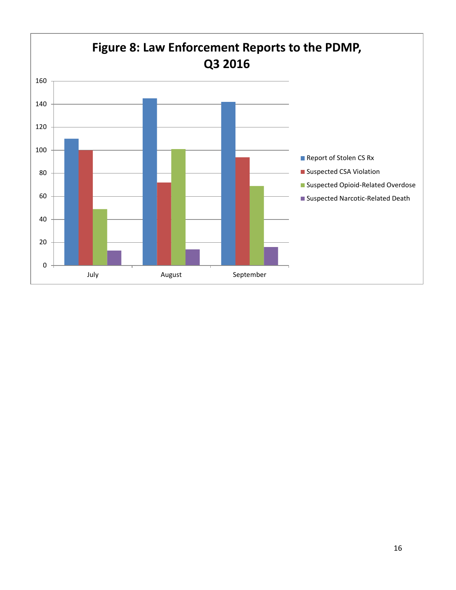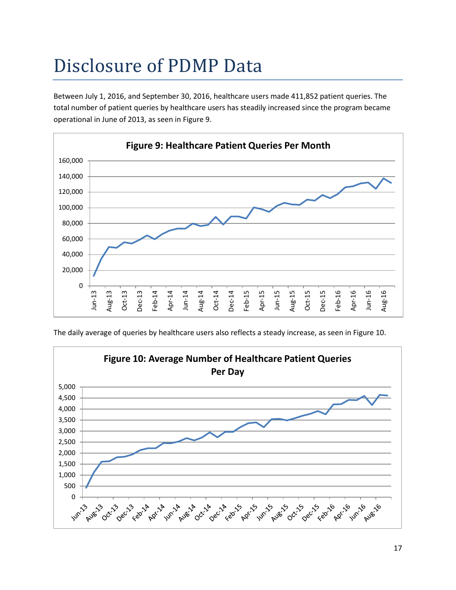# <span id="page-17-0"></span>Disclosure of PDMP Data

Between July 1, 2016, and September 30, 2016, healthcare users made 411,852 patient queries. The total number of patient queries by healthcare users has steadily increased since the program became operational in June of 2013, as seen in Figure 9.



The daily average of queries by healthcare users also reflects a steady increase, as seen in Figure 10.

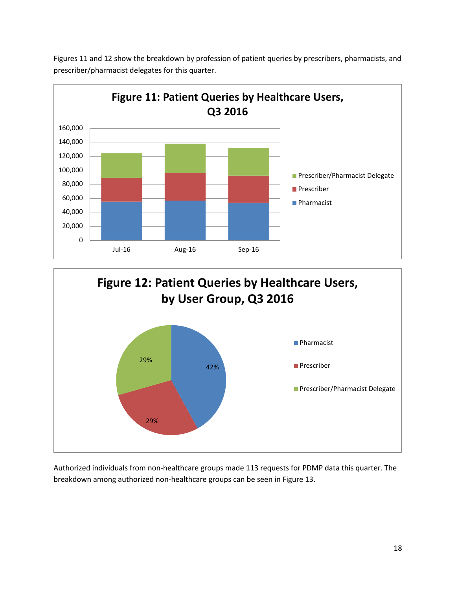

Figures 11 and 12 show the breakdown by profession of patient queries by prescribers, pharmacists, and prescriber/pharmacist delegates for this quarter.



Authorized individuals from non-healthcare groups made 113 requests for PDMP data this quarter. The breakdown among authorized non-healthcare groups can be seen in Figure 13.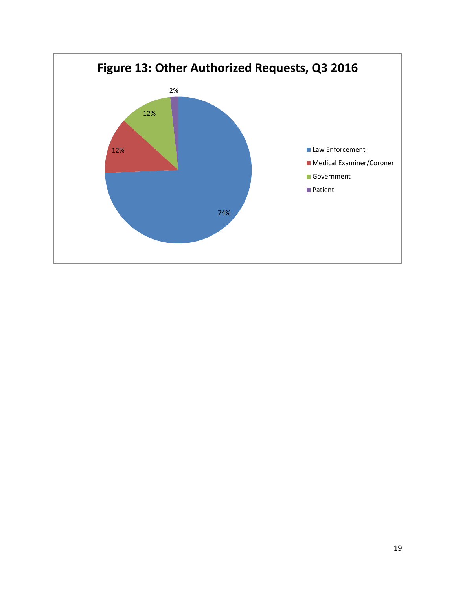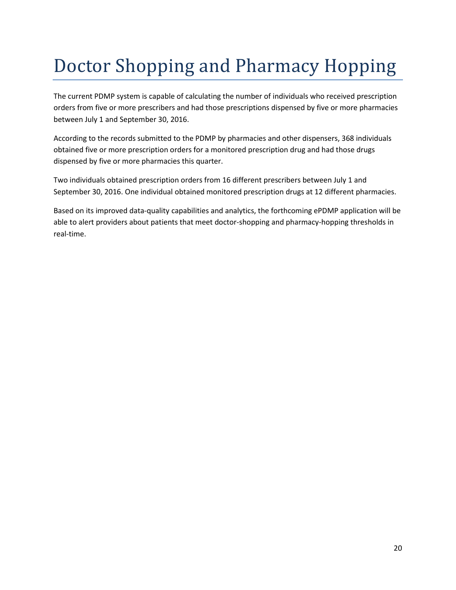# <span id="page-20-0"></span>Doctor Shopping and Pharmacy Hopping

The current PDMP system is capable of calculating the number of individuals who received prescription orders from five or more prescribers and had those prescriptions dispensed by five or more pharmacies between July 1 and September 30, 2016.

According to the records submitted to the PDMP by pharmacies and other dispensers, 368 individuals obtained five or more prescription orders for a monitored prescription drug and had those drugs dispensed by five or more pharmacies this quarter.

Two individuals obtained prescription orders from 16 different prescribers between July 1 and September 30, 2016. One individual obtained monitored prescription drugs at 12 different pharmacies.

Based on its improved data-quality capabilities and analytics, the forthcoming ePDMP application will be able to alert providers about patients that meet doctor-shopping and pharmacy-hopping thresholds in real-time.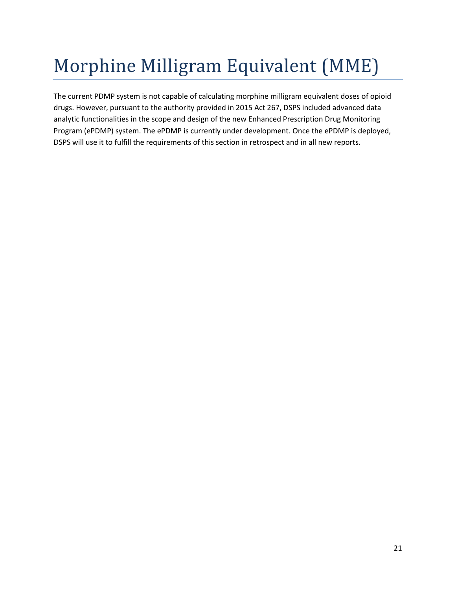# <span id="page-21-0"></span>Morphine Milligram Equivalent (MME)

The current PDMP system is not capable of calculating morphine milligram equivalent doses of opioid drugs. However, pursuant to the authority provided in 2015 Act 267, DSPS included advanced data analytic functionalities in the scope and design of the new Enhanced Prescription Drug Monitoring Program (ePDMP) system. The ePDMP is currently under development. Once the ePDMP is deployed, DSPS will use it to fulfill the requirements of this section in retrospect and in all new reports.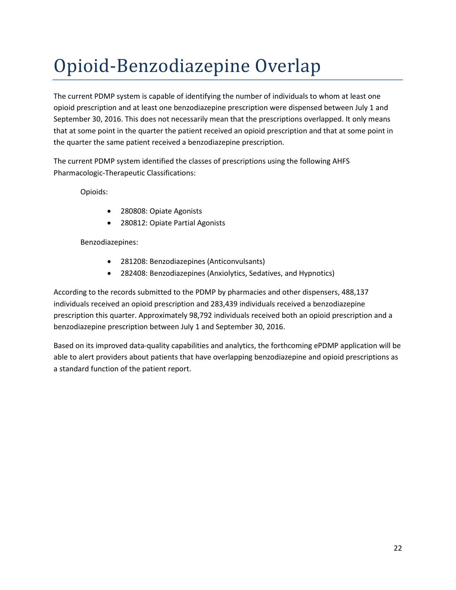# <span id="page-22-0"></span>Opioid-Benzodiazepine Overlap

The current PDMP system is capable of identifying the number of individuals to whom at least one opioid prescription and at least one benzodiazepine prescription were dispensed between July 1 and September 30, 2016. This does not necessarily mean that the prescriptions overlapped. It only means that at some point in the quarter the patient received an opioid prescription and that at some point in the quarter the same patient received a benzodiazepine prescription.

The current PDMP system identified the classes of prescriptions using the following AHFS Pharmacologic-Therapeutic Classifications:

Opioids:

- 280808: Opiate Agonists
- 280812: Opiate Partial Agonists

Benzodiazepines:

- 281208: Benzodiazepines (Anticonvulsants)
- 282408: Benzodiazepines (Anxiolytics, Sedatives, and Hypnotics)

According to the records submitted to the PDMP by pharmacies and other dispensers, 488,137 individuals received an opioid prescription and 283,439 individuals received a benzodiazepine prescription this quarter. Approximately 98,792 individuals received both an opioid prescription and a benzodiazepine prescription between July 1 and September 30, 2016.

Based on its improved data-quality capabilities and analytics, the forthcoming ePDMP application will be able to alert providers about patients that have overlapping benzodiazepine and opioid prescriptions as a standard function of the patient report.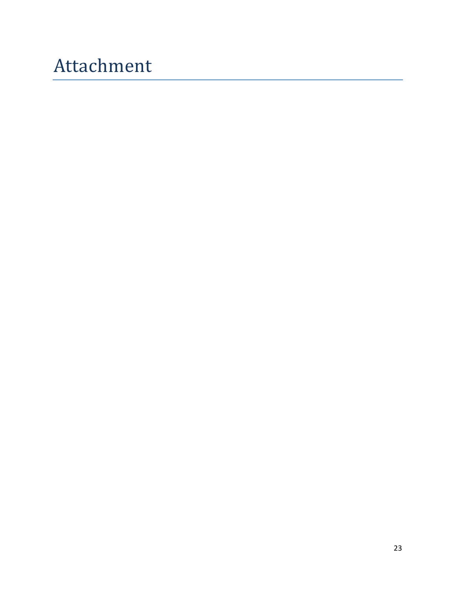# <span id="page-23-0"></span>Attachment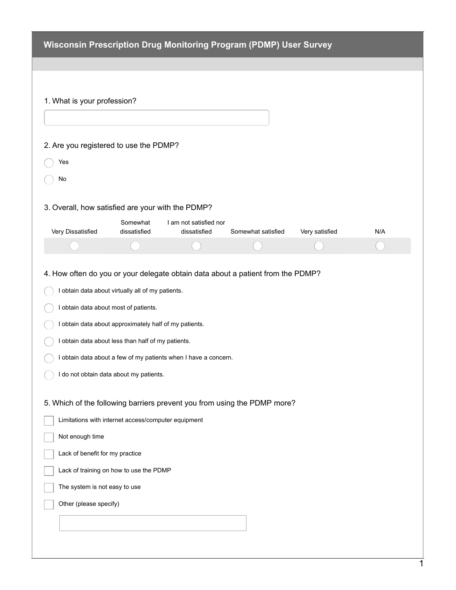| <b>Wisconsin Prescription Drug Monitoring Program (PDMP) User Survey</b> |  |
|--------------------------------------------------------------------------|--|
|--------------------------------------------------------------------------|--|

| 1. What is your profession?                                                                                                                             |                          |                                                                 |                    |                |     |
|---------------------------------------------------------------------------------------------------------------------------------------------------------|--------------------------|-----------------------------------------------------------------|--------------------|----------------|-----|
|                                                                                                                                                         |                          |                                                                 |                    |                |     |
| 2. Are you registered to use the PDMP?                                                                                                                  |                          |                                                                 |                    |                |     |
| Yes                                                                                                                                                     |                          |                                                                 |                    |                |     |
| No                                                                                                                                                      |                          |                                                                 |                    |                |     |
| 3. Overall, how satisfied are your with the PDMP?                                                                                                       |                          |                                                                 |                    |                |     |
| Very Dissatisfied                                                                                                                                       | Somewhat<br>dissatisfied | I am not satisfied nor<br>dissatisfied                          | Somewhat satisfied | Very satisfied | N/A |
|                                                                                                                                                         |                          |                                                                 |                    |                |     |
| I obtain data about approximately half of my patients.<br>I obtain data about less than half of my patients.<br>I do not obtain data about my patients. |                          | I obtain data about a few of my patients when I have a concern. |                    |                |     |
| 5. Which of the following barriers prevent you from using the PDMP more?                                                                                |                          |                                                                 |                    |                |     |
| Limitations with internet access/computer equipment                                                                                                     |                          |                                                                 |                    |                |     |
| Not enough time                                                                                                                                         |                          |                                                                 |                    |                |     |
| Lack of benefit for my practice                                                                                                                         |                          |                                                                 |                    |                |     |
| Lack of training on how to use the PDMP<br>The system is not easy to use                                                                                |                          |                                                                 |                    |                |     |
| Other (please specify)                                                                                                                                  |                          |                                                                 |                    |                |     |
|                                                                                                                                                         |                          |                                                                 |                    |                |     |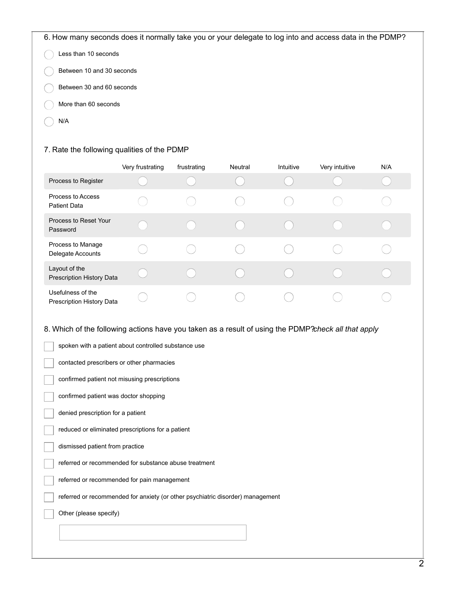6. How many seconds does it normally take you or your delegate to log into and access data in the PDMP?

| $( )$ Less than 10 seconds         |
|------------------------------------|
| $\frown$ Between 10 and 30 seconds |

- 
- Between 30 and 60 seconds
- More than 60 seconds
- N/A

#### 7. Rate the following qualities of the PDMP

|                                                       | Very frustrating | frustrating | Neutral | Intuitive | Very intuitive | N/A |
|-------------------------------------------------------|------------------|-------------|---------|-----------|----------------|-----|
| Process to Register                                   |                  |             |         |           |                |     |
| Process to Access<br><b>Patient Data</b>              |                  |             |         |           |                |     |
| Process to Reset Your<br>Password                     |                  |             |         |           |                |     |
| Process to Manage<br>Delegate Accounts                |                  |             |         |           |                |     |
| Layout of the<br><b>Prescription History Data</b>     |                  |             |         |           |                |     |
| Usefulness of the<br><b>Prescription History Data</b> |                  |             |         |           |                |     |

#### 8. Which of the following actions have you taken as a result of using the PDMP?*check all that apply*

| spoken with a patient about controlled substance use                           |
|--------------------------------------------------------------------------------|
| contacted prescribers or other pharmacies                                      |
| confirmed patient not misusing prescriptions                                   |
| confirmed patient was doctor shopping                                          |
| denied prescription for a patient                                              |
| reduced or eliminated prescriptions for a patient                              |
| dismissed patient from practice                                                |
| referred or recommended for substance abuse treatment                          |
| referred or recommended for pain management                                    |
| referred or recommended for anxiety (or other psychiatric disorder) management |
| Other (please specify)                                                         |
|                                                                                |
|                                                                                |